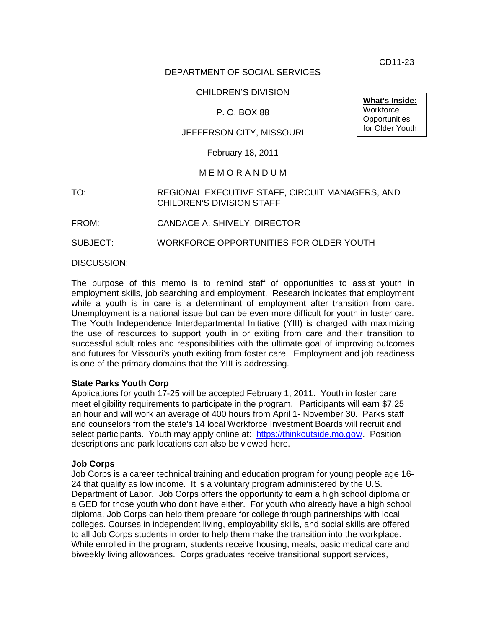CD11-23

### DEPARTMENT OF SOCIAL SERVICES

### CHILDREN'S DIVISION

# P. O. BOX 88

# JEFFERSON CITY, MISSOURI

February 18, 2011

#### M E M O R A N D U M

### TO: REGIONAL EXECUTIVE STAFF, CIRCUIT MANAGERS, AND CHILDREN'S DIVISION STAFF

FROM: CANDACE A. SHIVELY, DIRECTOR

SUBJECT: WORKFORCE OPPORTUNITIES FOR OLDER YOUTH

DISCUSSION:

The purpose of this memo is to remind staff of opportunities to assist youth in employment skills, job searching and employment. Research indicates that employment while a youth is in care is a determinant of employment after transition from care. Unemployment is a national issue but can be even more difficult for youth in foster care. The Youth Independence Interdepartmental Initiative (YIII) is charged with maximizing the use of resources to support youth in or exiting from care and their transition to successful adult roles and responsibilities with the ultimate goal of improving outcomes and futures for Missouri's youth exiting from foster care. Employment and job readiness is one of the primary domains that the YIII is addressing.

#### **State Parks Youth Corp**

Applications for youth 17-25 will be accepted February 1, 2011. Youth in foster care meet eligibility requirements to participate in the program. Participants will earn \$7.25 an hour and will work an average of 400 hours from April 1- November 30. Parks staff and counselors from the state's 14 local Workforce Investment Boards will recruit and select participants. Youth may apply online at: [https://thinkoutside.mo.gov/.](https://thinkoutside.mo.gov/default.aspx) Position descriptions and park locations can also be viewed here.

#### **Job Corps**

Job Corps is a career technical training and education program for young people age 16- 24 that qualify as low income. It is a voluntary program administered by the U.S. Department of Labor. Job Corps offers the opportunity to earn a high school diploma or a GED for those youth who don't have either. For youth who already have a high school diploma, Job Corps can help them prepare for college through partnerships with local colleges. Courses in independent living, employability skills, and social skills are offered to all Job Corps students in order to help them make the transition into the workplace. While enrolled in the program, students receive housing, meals, basic medical care and biweekly living allowances. Corps graduates receive transitional support services,

**What's Inside: Workforce Opportunities** for Older Youth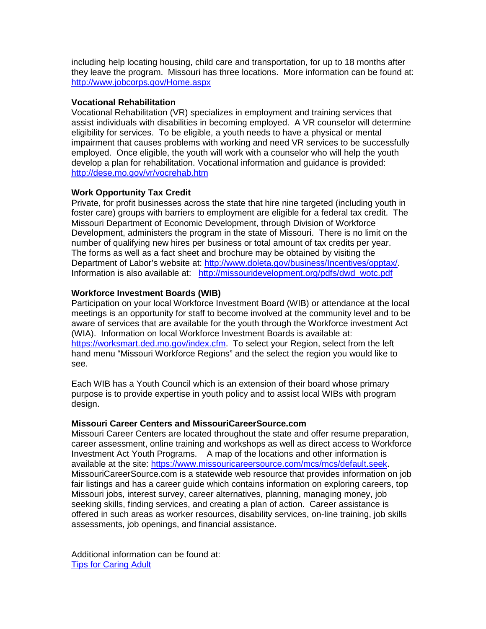including help locating housing, child care and transportation, for up to 18 months after they leave the program. Missouri has three locations. More information can be found at: <http://www.jobcorps.gov/Home.aspx>

### **Vocational Rehabilitation**

Vocational Rehabilitation (VR) specializes in employment and training services that assist individuals with disabilities in becoming employed. A VR counselor will determine eligibility for services. To be eligible, a youth needs to have a physical or mental impairment that causes problems with working and need VR services to be successfully employed. Once eligible, the youth will work with a counselor who will help the youth develop a plan for rehabilitation. Vocational information and guidance is provided: <http://dese.mo.gov/vr/vocrehab.htm>

# **Work Opportunity Tax Credit**

Private, for profit businesses across the state that hire nine targeted (including youth in foster care) groups with barriers to employment are eligible for a federal tax credit. The Missouri Department of Economic Development, through Division of Workforce Development, administers the program in the state of Missouri. There is no limit on the number of qualifying new hires per business or total amount of tax credits per year. The forms as well as a fact sheet and brochure may be obtained by visiting the Department of Labor's website at: [http://www.doleta.gov/business/Incentives/opptax/.](http://www.doleta.gov/business/Incentives/opptax/) Information is also available at: [http://missouridevelopment.org/pdfs/dwd\\_wotc.pdf](http://missouridevelopment.org/pdfs/dwd_wotc.pdf)

# **Workforce Investment Boards (WIB)**

Participation on your local Workforce Investment Board (WIB) or attendance at the local meetings is an opportunity for staff to become involved at the community level and to be aware of services that are available for the youth through the Workforce investment Act (WIA). Information on local Workforce Investment Boards is available at: [https://worksmart.ded.mo.gov/index.cfm.](https://worksmart.ded.mo.gov/index.cfm) To select your Region, select from the left hand menu "Missouri Workforce Regions" and the select the region you would like to see.

Each WIB has a Youth Council which is an extension of their board whose primary purpose is to provide expertise in youth policy and to assist local WIBs with program design.

# **Missouri Career Centers and MissouriCareerSource.com**

Missouri Career Centers are located throughout the state and offer resume preparation, career assessment, online training and workshops as well as direct access to Workforce Investment Act Youth Programs. A map of the locations and other information is available at the site: [https://www.missouricareersource.com/mcs/mcs/default.seek.](https://www.missouricareersource.com/mcs/mcs/default.seek) MissouriCareerSource.com is a statewide web resource that provides information on job fair listings and has a career guide which contains information on exploring careers, top Missouri jobs, interest survey, career alternatives, planning, managing money, job seeking skills, finding services, and creating a plan of action. Career assistance is offered in such areas as worker resources, disability services, on-line training, job skills assessments, job openings, and financial assistance.

Additional information can be found at: [Tips for Caring Adult](http://www.dss.mo.gov/cd/info/memos/2011/cd11-023att.pdf)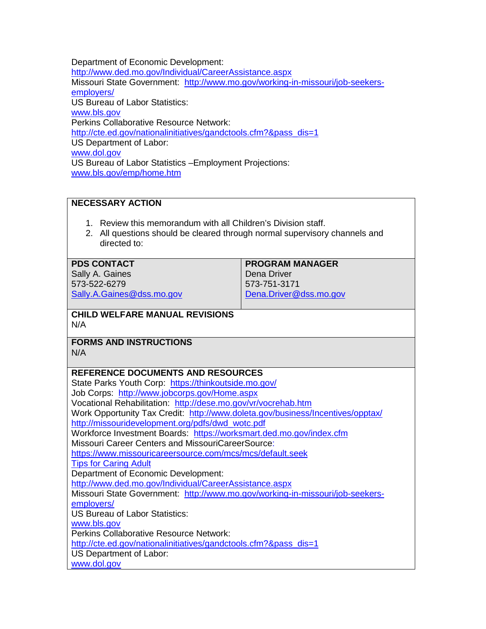Department of Economic Development:

<http://www.ded.mo.gov/Individual/CareerAssistance.aspx> Missouri State Government: [http://www.mo.gov/working-in-missouri/job-seekers](http://www.mo.gov/working-in-missouri/job-seekers-employers/)[employers/](http://www.mo.gov/working-in-missouri/job-seekers-employers/) US Bureau of Labor Statistics: [www.bls.gov](http://www.bls.gov/) Perkins Collaborative Resource Network: [http://cte.ed.gov/nationalinitiatives/gandctools.cfm?&pass\\_dis=1](http://cte.ed.gov/nationalinitiatives/gandctools.cfm?&pass_dis=1) US Department of Labor: [www.dol.gov](http://www.dol.gov/) US Bureau of Labor Statistics –Employment Projections: [www.bls.gov/emp/home.htm](http://www.bls.gov/emp/home.htm)

# **NECESSARY ACTION**

- 1. Review this memorandum with all Children's Division staff.
- 2. All questions should be cleared through normal supervisory channels and directed to:

# **PDS CONTACT**

Sally A. Gaines 573-522-6279 [Sally.A.Gaines@dss.mo.gov](mailto:Sally.A.Gaines@dss.mo.gov) **PROGRAM MANAGER** Dena Driver 573-751-3171 [Dena.Driver@dss.mo.gov](mailto:Dena.Driver@dss.mo.gov)

# **CHILD WELFARE MANUAL REVISIONS** N/A

**FORMS AND INSTRUCTIONS**

N/A

# **REFERENCE DOCUMENTS AND RESOURCES**

State Parks Youth Corp: [https://thinkoutside.mo.gov/](https://thinkoutside.mo.gov/default.aspx) Job Corps: <http://www.jobcorps.gov/Home.aspx> Vocational Rehabilitation: <http://dese.mo.gov/vr/vocrehab.htm> Work Opportunity Tax Credit: <http://www.doleta.gov/business/Incentives/opptax/> [http://missouridevelopment.org/pdfs/dwd\\_wotc.pdf](http://missouridevelopment.org/pdfs/dwd_wotc.pdf) Workforce Investment Boards: <https://worksmart.ded.mo.gov/index.cfm> Missouri Career Centers and MissouriCareerSource: <https://www.missouricareersource.com/mcs/mcs/default.seek> [Tips for Caring Adult](http://www.dss.mo.gov/cd/info/memos/2011/cd11-023att.pdf) Department of Economic Development: <http://www.ded.mo.gov/Individual/CareerAssistance.aspx> Missouri State Government: [http://www.mo.gov/working-in-missouri/job-seekers](http://www.mo.gov/working-in-missouri/job-seekers-employers/)[employers/](http://www.mo.gov/working-in-missouri/job-seekers-employers/) US Bureau of Labor Statistics: [www.bls.gov](http://www.bls.gov/) Perkins Collaborative Resource Network: [http://cte.ed.gov/nationalinitiatives/gandctools.cfm?&pass\\_dis=1](http://cte.ed.gov/nationalinitiatives/gandctools.cfm?&pass_dis=1) US Department of Labor: [www.dol.gov](http://www.dol.gov/)